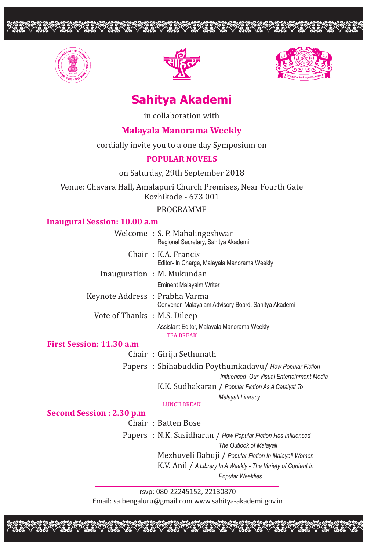



<u>opopoppoppopoppoppoppoppoppoppoppop</u>



# **Sahitya Akademi**

in collaboration with

## **Malayala Manorama Weekly**

cordially invite you to a one day Symposium on

### **POPULAR NOVELS**

on Saturday, 29th September 2018

Venue: Chavara Hall, Amalapuri Church Premises, Near Fourth Gate Kozhikode - 673 001

### PROGRAMME

### **Inaugural Session: 10.00 a.m**

|                                | Welcome: S. P. Mahalingeshwar<br>Regional Secretary, Sahitya Akademi |
|--------------------------------|----------------------------------------------------------------------|
|                                | Chair: K.A. Francis<br>Editor- In Charge, Malayala Manorama Weekly   |
|                                | Inauguration: M. Mukundan                                            |
|                                | <b>Eminent Malayalm Writer</b>                                       |
| Keynote Address : Prabha Varma | Convener, Malayalam Advisory Board, Sahitya Akademi                  |
| Vote of Thanks: M.S. Dileep    |                                                                      |
|                                | Assistant Editor, Malayala Manorama Weekly<br><b>TEA BREAK</b>       |
| ion: 11.30 a.m                 |                                                                      |
|                                | Chair: Girija Sethunath                                              |

**First Sess** 

Papers : Shihabuddin Poythumkadavu/ *How Popular Fiction*

 *Influenced Our Visual Entertainment Media*

K.K. Sudhakaran / *Popular Fiction As A Catalyst To* 

*Malayali Literacy*

## LUNCH BREAK

### **Second Session : 2.30 p.m**

Chair : Batten Bose

Papers : N.K. Sasidharan / *How Popular Fiction Has Influenced The Outlook of Malayali* Mezhuveli Babuji / *Popular Fiction In Malayali Women* K.V. Anil / *A Library In A Weekly - The Variety of Content In Popular Weeklies*

rsvp: 080-22245152, 22130870 Email: sa.bengaluru@gmail.com www.sahitya-akademi.gov.in

opopopopoppopopooppoppopopoopp